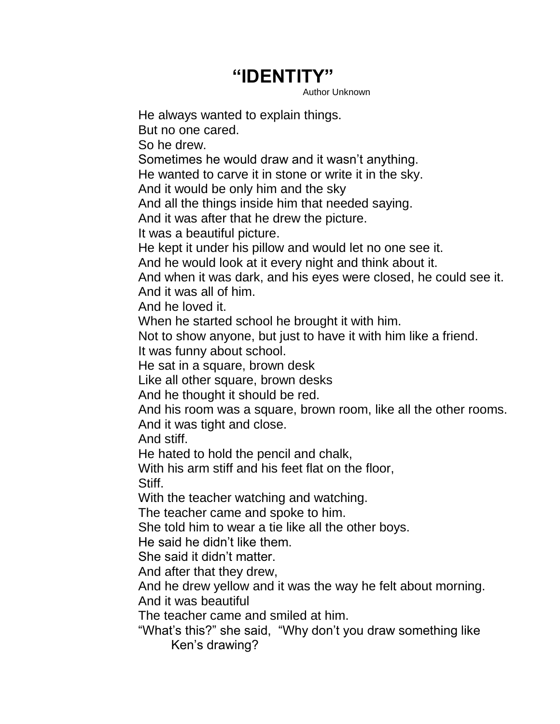## **"IDENTITY"**

Author Unknown

He always wanted to explain things.

But no one cared.

So he drew.

Sometimes he would draw and it wasn't anything.

He wanted to carve it in stone or write it in the sky.

And it would be only him and the sky

And all the things inside him that needed saying.

And it was after that he drew the picture.

It was a beautiful picture.

He kept it under his pillow and would let no one see it.

And he would look at it every night and think about it.

And when it was dark, and his eyes were closed, he could see it. And it was all of him.

And he loved it.

When he started school he brought it with him.

Not to show anyone, but just to have it with him like a friend.

It was funny about school.

He sat in a square, brown desk

Like all other square, brown desks

And he thought it should be red.

And his room was a square, brown room, like all the other rooms. And it was tight and close.

And stiff.

He hated to hold the pencil and chalk,

With his arm stiff and his feet flat on the floor, Stiff.

With the teacher watching and watching.

The teacher came and spoke to him.

She told him to wear a tie like all the other boys.

He said he didn't like them.

She said it didn't matter.

And after that they drew,

And he drew yellow and it was the way he felt about morning. And it was beautiful

The teacher came and smiled at him.

"What's this?" she said, "Why don't you draw something like Ken's drawing?